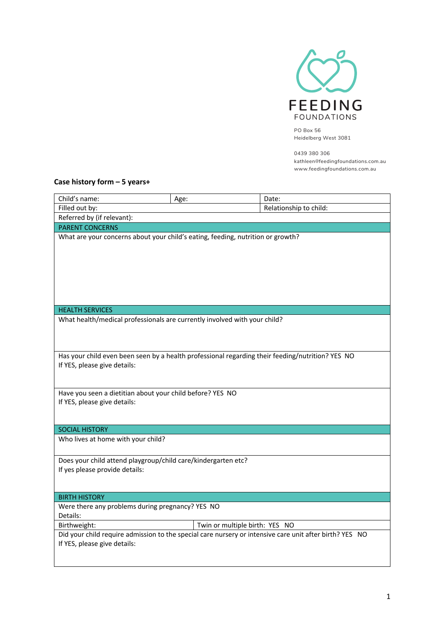

PO Box 56 Heidelberg West 3081

0439 380 306 kathleen@feedingfoundations.com.au www.feedingfoundations.com.au

## **Case history form – 5 years+**

| Child's name:                                                                                                                           | Age:                           | Date:                  |  |  |  |  |
|-----------------------------------------------------------------------------------------------------------------------------------------|--------------------------------|------------------------|--|--|--|--|
| Filled out by:                                                                                                                          |                                | Relationship to child: |  |  |  |  |
| Referred by (if relevant):                                                                                                              |                                |                        |  |  |  |  |
| <b>PARENT CONCERNS</b>                                                                                                                  |                                |                        |  |  |  |  |
| What are your concerns about your child's eating, feeding, nutrition or growth?                                                         |                                |                        |  |  |  |  |
| <b>HEALTH SERVICES</b>                                                                                                                  |                                |                        |  |  |  |  |
| What health/medical professionals are currently involved with your child?                                                               |                                |                        |  |  |  |  |
|                                                                                                                                         |                                |                        |  |  |  |  |
| Has your child even been seen by a health professional regarding their feeding/nutrition? YES NO<br>If YES, please give details:        |                                |                        |  |  |  |  |
| Have you seen a dietitian about your child before? YES NO<br>If YES, please give details:                                               |                                |                        |  |  |  |  |
| <b>SOCIAL HISTORY</b>                                                                                                                   |                                |                        |  |  |  |  |
| Who lives at home with your child?                                                                                                      |                                |                        |  |  |  |  |
| Does your child attend playgroup/child care/kindergarten etc?<br>If yes please provide details:                                         |                                |                        |  |  |  |  |
| <b>BIRTH HISTORY</b>                                                                                                                    |                                |                        |  |  |  |  |
| Were there any problems during pregnancy? YES NO<br>Details:                                                                            |                                |                        |  |  |  |  |
| Birthweight:                                                                                                                            | Twin or multiple birth: YES NO |                        |  |  |  |  |
| Did your child require admission to the special care nursery or intensive care unit after birth? YES NO<br>If YES, please give details: |                                |                        |  |  |  |  |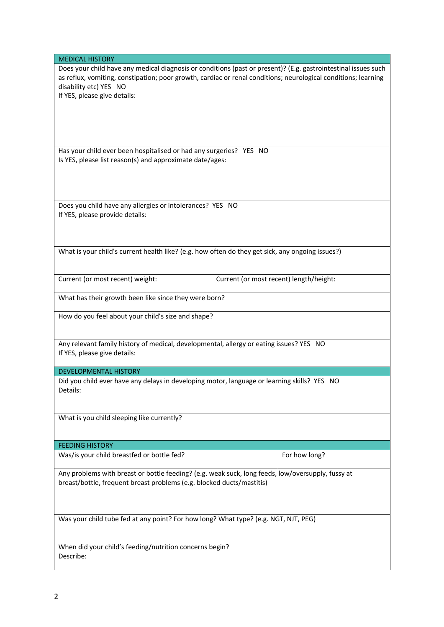| <b>MEDICAL HISTORY</b>                                                                            |                                                                                                                |  |  |  |
|---------------------------------------------------------------------------------------------------|----------------------------------------------------------------------------------------------------------------|--|--|--|
|                                                                                                   | Does your child have any medical diagnosis or conditions (past or present)? (E.g. gastrointestinal issues such |  |  |  |
|                                                                                                   | as reflux, vomiting, constipation; poor growth, cardiac or renal conditions; neurological conditions; learning |  |  |  |
| disability etc) YES NO                                                                            |                                                                                                                |  |  |  |
| If YES, please give details:                                                                      |                                                                                                                |  |  |  |
|                                                                                                   |                                                                                                                |  |  |  |
|                                                                                                   |                                                                                                                |  |  |  |
|                                                                                                   |                                                                                                                |  |  |  |
|                                                                                                   |                                                                                                                |  |  |  |
| Has your child ever been hospitalised or had any surgeries? YES NO                                |                                                                                                                |  |  |  |
| Is YES, please list reason(s) and approximate date/ages:                                          |                                                                                                                |  |  |  |
|                                                                                                   |                                                                                                                |  |  |  |
|                                                                                                   |                                                                                                                |  |  |  |
|                                                                                                   |                                                                                                                |  |  |  |
|                                                                                                   |                                                                                                                |  |  |  |
| Does you child have any allergies or intolerances? YES NO                                         |                                                                                                                |  |  |  |
| If YES, please provide details:                                                                   |                                                                                                                |  |  |  |
|                                                                                                   |                                                                                                                |  |  |  |
|                                                                                                   |                                                                                                                |  |  |  |
|                                                                                                   |                                                                                                                |  |  |  |
| What is your child's current health like? (e.g. how often do they get sick, any ongoing issues?)  |                                                                                                                |  |  |  |
|                                                                                                   |                                                                                                                |  |  |  |
| Current (or most recent) weight:                                                                  | Current (or most recent) length/height:                                                                        |  |  |  |
|                                                                                                   |                                                                                                                |  |  |  |
| What has their growth been like since they were born?                                             |                                                                                                                |  |  |  |
|                                                                                                   |                                                                                                                |  |  |  |
| How do you feel about your child's size and shape?                                                |                                                                                                                |  |  |  |
|                                                                                                   |                                                                                                                |  |  |  |
|                                                                                                   |                                                                                                                |  |  |  |
| Any relevant family history of medical, developmental, allergy or eating issues? YES NO           |                                                                                                                |  |  |  |
| If YES, please give details:                                                                      |                                                                                                                |  |  |  |
| <b>DEVELOPMENTAL HISTORY</b>                                                                      |                                                                                                                |  |  |  |
| Did you child ever have any delays in developing motor, language or learning skills? YES NO       |                                                                                                                |  |  |  |
| Details:                                                                                          |                                                                                                                |  |  |  |
|                                                                                                   |                                                                                                                |  |  |  |
|                                                                                                   |                                                                                                                |  |  |  |
| What is you child sleeping like currently?                                                        |                                                                                                                |  |  |  |
|                                                                                                   |                                                                                                                |  |  |  |
|                                                                                                   |                                                                                                                |  |  |  |
| <b>FEEDING HISTORY</b>                                                                            |                                                                                                                |  |  |  |
| Was/is your child breastfed or bottle fed?                                                        | For how long?                                                                                                  |  |  |  |
|                                                                                                   |                                                                                                                |  |  |  |
| Any problems with breast or bottle feeding? (e.g. weak suck, long feeds, low/oversupply, fussy at |                                                                                                                |  |  |  |
| breast/bottle, frequent breast problems (e.g. blocked ducts/mastitis)                             |                                                                                                                |  |  |  |
|                                                                                                   |                                                                                                                |  |  |  |
|                                                                                                   |                                                                                                                |  |  |  |
| Was your child tube fed at any point? For how long? What type? (e.g. NGT, NJT, PEG)               |                                                                                                                |  |  |  |
|                                                                                                   |                                                                                                                |  |  |  |
|                                                                                                   |                                                                                                                |  |  |  |
| When did your child's feeding/nutrition concerns begin?                                           |                                                                                                                |  |  |  |
| Describe:                                                                                         |                                                                                                                |  |  |  |
|                                                                                                   |                                                                                                                |  |  |  |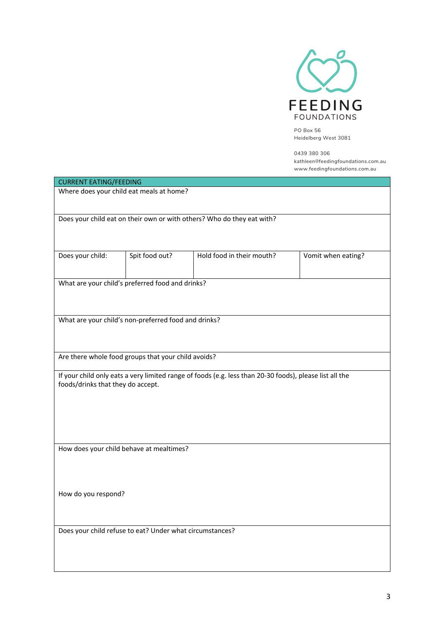

PO Box 56 Heidelberg West 3081

0439 380 306 kathleen@feedingfoundations.com.au www.feedingfoundations.com.au

| <b>CURRENT EATING/FEEDING</b>                                          |                |                                                                                                         |                    |  |  |
|------------------------------------------------------------------------|----------------|---------------------------------------------------------------------------------------------------------|--------------------|--|--|
| Where does your child eat meals at home?                               |                |                                                                                                         |                    |  |  |
| Does your child eat on their own or with others? Who do they eat with? |                |                                                                                                         |                    |  |  |
| Does your child:                                                       | Spit food out? | Hold food in their mouth?                                                                               | Vomit when eating? |  |  |
| What are your child's preferred food and drinks?                       |                |                                                                                                         |                    |  |  |
| What are your child's non-preferred food and drinks?                   |                |                                                                                                         |                    |  |  |
| Are there whole food groups that your child avoids?                    |                |                                                                                                         |                    |  |  |
| foods/drinks that they do accept.                                      |                | If your child only eats a very limited range of foods (e.g. less than 20-30 foods), please list all the |                    |  |  |
| How does your child behave at mealtimes?                               |                |                                                                                                         |                    |  |  |
| How do you respond?                                                    |                |                                                                                                         |                    |  |  |
| Does your child refuse to eat? Under what circumstances?               |                |                                                                                                         |                    |  |  |